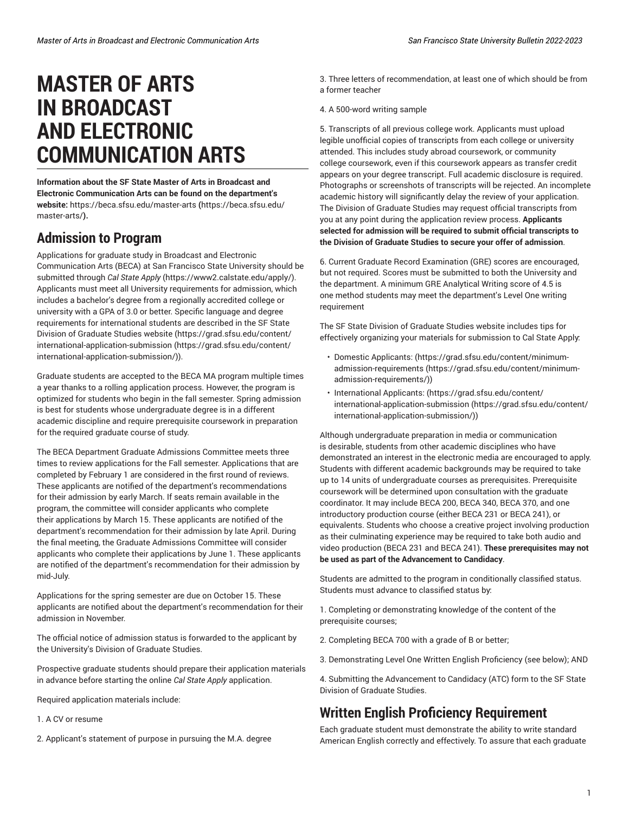# **MASTER OF ARTS IN BROADCAST AND ELECTRONIC COMMUNICATION ARTS**

**Information about the SF State Master of Arts in Broadcast and Electronic Communication Arts can be found on the department's website:** [https://beca.sfsu.edu/master-arts](https://beca.sfsu.edu/master-arts/) **(**[https://beca.sfsu.edu/](https://beca.sfsu.edu/master-arts/) [master-arts/](https://beca.sfsu.edu/master-arts/)**).** 

## **Admission to Program**

Applications for graduate study in Broadcast and Electronic Communication Arts (BECA) at San Francisco State University should be submitted through *Cal State Apply* [\(https://www2.calstate.edu/apply/\)](https://www2.calstate.edu/apply/). Applicants must meet all University requirements for admission, which includes a bachelor's degree from a regionally accredited college or university with a GPA of 3.0 or better. Specific language and degree requirements for international students are described in the SF State Division of Graduate Studies website ([https://grad.sfsu.edu/content/](https://grad.sfsu.edu/content/international-application-submission/) [international-application-submission \(https://grad.sfsu.edu/content/](https://grad.sfsu.edu/content/international-application-submission/) [international-application-submission/\)](https://grad.sfsu.edu/content/international-application-submission/)).

Graduate students are accepted to the BECA MA program multiple times a year thanks to a rolling application process. However, the program is optimized for students who begin in the fall semester. Spring admission is best for students whose undergraduate degree is in a different academic discipline and require prerequisite coursework in preparation for the required graduate course of study.

The BECA Department Graduate Admissions Committee meets three times to review applications for the Fall semester. Applications that are completed by February 1 are considered in the first round of reviews. These applicants are notified of the department's recommendations for their admission by early March. If seats remain available in the program, the committee will consider applicants who complete their applications by March 15. These applicants are notified of the department's recommendation for their admission by late April. During the final meeting, the Graduate Admissions Committee will consider applicants who complete their applications by June 1. These applicants are notified of the department's recommendation for their admission by mid-July.

Applications for the spring semester are due on October 15. These applicants are notified about the department's recommendation for their admission in November.

The official notice of admission status is forwarded to the applicant by the University's Division of Graduate Studies.

Prospective graduate students should prepare their application materials in advance before starting the online *Cal State Apply* application.

Required application materials include:

- 1. A CV or resume
- 2. Applicant's statement of purpose in pursuing the M.A. degree

3. Three letters of recommendation, at least one of which should be from a former teacher

4. A 500-word writing sample

5. Transcripts of all previous college work. Applicants must upload legible unofficial copies of transcripts from each college or university attended. This includes study abroad coursework, or community college coursework, even if this coursework appears as transfer credit appears on your degree transcript. Full academic disclosure is required. Photographs or screenshots of transcripts will be rejected. An incomplete academic history will significantly delay the review of your application. The Division of Graduate Studies may request official transcripts from you at any point during the application review process. **Applicants selected for admission will be required to submit official transcripts to the Division of Graduate Studies to secure your offer of admission**.

6. Current Graduate Record Examination (GRE) scores are encouraged, but not required. Scores must be submitted to both the University and the department. A minimum GRE Analytical Writing score of 4.5 is one method students may meet the department's Level One writing requirement

The SF State Division of Graduate Studies website includes tips for effectively organizing your materials for submission to Cal State Apply:

- Domestic Applicants: ([https://grad.sfsu.edu/content/minimum](https://grad.sfsu.edu/content/minimum-admission-requirements/)[admission-requirements \(https://grad.sfsu.edu/content/minimum](https://grad.sfsu.edu/content/minimum-admission-requirements/)[admission-requirements/\)](https://grad.sfsu.edu/content/minimum-admission-requirements/))
- International Applicants: [\(https://grad.sfsu.edu/content/](https://grad.sfsu.edu/content/international-application-submission/) [international-application-submission](https://grad.sfsu.edu/content/international-application-submission/) ([https://grad.sfsu.edu/content/](https://grad.sfsu.edu/content/international-application-submission/) [international-application-submission/](https://grad.sfsu.edu/content/international-application-submission/)))

Although undergraduate preparation in media or communication is desirable, students from other academic disciplines who have demonstrated an interest in the electronic media are encouraged to apply. Students with different academic backgrounds may be required to take up to 14 units of undergraduate courses as prerequisites. Prerequisite coursework will be determined upon consultation with the graduate coordinator. It may include BECA 200, BECA 340, BECA 370, and one introductory production course (either BECA 231 or BECA 241), or equivalents. Students who choose a creative project involving production as their culminating experience may be required to take both audio and video production (BECA 231 and BECA 241). **These prerequisites may not be used as part of the Advancement to Candidacy**.

Students are admitted to the program in conditionally classified status. Students must advance to classified status by:

1. Completing or demonstrating knowledge of the content of the prerequisite courses;

- 2. Completing BECA 700 with a grade of B or better;
- 3. Demonstrating Level One Written English Proficiency (see below); AND

4. Submitting the Advancement to Candidacy (ATC) form to the SF State Division of Graduate Studies.

# **Written English Proficiency Requirement**

Each graduate student must demonstrate the ability to write standard American English correctly and effectively. To assure that each graduate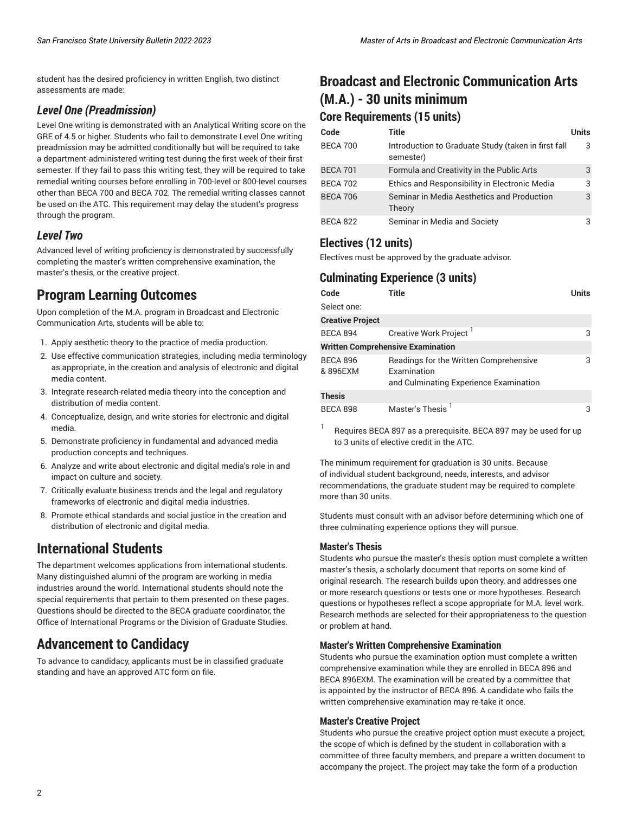student has the desired proficiency in written English, two distinct assessments are made:

### *Level One (Preadmission)*

Level One writing is demonstrated with an Analytical Writing score on the GRE of 4.5 or higher. Students who fail to demonstrate Level One writing preadmission may be admitted conditionally but will be required to take a department-administered writing test during the first week of their first semester. If they fail to pass this writing test, they will be required to take remedial writing courses before enrolling in 700-level or 800-level courses other than BECA 700 and BECA 702. The remedial writing classes cannot be used on the ATC. This requirement may delay the student's progress through the program.

### *Level Two*

Advanced level of writing proficiency is demonstrated by successfully completing the master's written comprehensive examination, the master's thesis, or the creative project.

## **Program Learning Outcomes**

Upon completion of the M.A. program in Broadcast and Electronic Communication Arts, students will be able to:

- 1. Apply aesthetic theory to the practice of media production.
- 2. Use effective communication strategies, including media terminology as appropriate, in the creation and analysis of electronic and digital media content.
- 3. Integrate research-related media theory into the conception and distribution of media content.
- 4. Conceptualize, design, and write stories for electronic and digital media.
- 5. Demonstrate proficiency in fundamental and advanced media production concepts and techniques.
- 6. Analyze and write about electronic and digital media's role in and impact on culture and society.
- 7. Critically evaluate business trends and the legal and regulatory frameworks of electronic and digital media industries.
- 8. Promote ethical standards and social justice in the creation and distribution of electronic and digital media.

## **International Students**

The department welcomes applications from international students. Many distinguished alumni of the program are working in media industries around the world. International students should note the special requirements that pertain to them presented on these pages. Questions should be directed to the BECA graduate coordinator, the Office of International Programs or the Division of Graduate Studies.

## **Advancement to Candidacy**

To advance to candidacy, applicants must be in classified graduate standing and have an approved ATC form on file.

# **Broadcast and Electronic Communication Arts (M.A.) - 30 units minimum**

# **Core Requirements (15 units)**

| Code            | Title                                                            | <b>Units</b> |
|-----------------|------------------------------------------------------------------|--------------|
| <b>BECA 700</b> | Introduction to Graduate Study (taken in first fall<br>semester) | 3            |
| <b>BECA 701</b> | Formula and Creativity in the Public Arts                        | 3            |
| <b>BECA 702</b> | Ethics and Responsibility in Electronic Media                    | 3            |
| <b>BECA 706</b> | Seminar in Media Aesthetics and Production<br>Theory             | 3            |
| <b>BECA 822</b> | Seminar in Media and Society                                     | 3            |

### **Electives (12 units)**

Electives must be approved by the graduate advisor.

## **Culminating Experience (3 units)**

| Code                    | Title                                    | Units |  |
|-------------------------|------------------------------------------|-------|--|
| Select one:             |                                          |       |  |
| <b>Creative Project</b> |                                          |       |  |
| <b>BECA 894</b>         | Creative Work Project <sup>1</sup>       | 3     |  |
|                         | <b>Written Comprehensive Examination</b> |       |  |
| <b>BECA 896</b>         | Readings for the Written Comprehensive   | 3     |  |
| & 896EXM                | Examination                              |       |  |
|                         | and Culminating Experience Examination   |       |  |
| <b>Thesis</b>           |                                          |       |  |
| <b>BECA 898</b>         | Master's Thesis <sup>1</sup>             | 3     |  |

1 Requires BECA 897 as a prerequisite. BECA 897 may be used for up to 3 units of elective credit in the ATC.

The minimum requirement for graduation is 30 units. Because of individual student background, needs, interests, and advisor recommendations, the graduate student may be required to complete more than 30 units.

Students must consult with an advisor before determining which one of three culminating experience options they will pursue.

### **Master's Thesis**

Students who pursue the master's thesis option must complete a written master's thesis, a scholarly document that reports on some kind of original research. The research builds upon theory, and addresses one or more research questions or tests one or more hypotheses. Research questions or hypotheses reflect a scope appropriate for M.A. level work. Research methods are selected for their appropriateness to the question or problem at hand.

### **Master's Written Comprehensive Examination**

Students who pursue the examination option must complete a written comprehensive examination while they are enrolled in BECA 896 and BECA 896EXM. The examination will be created by a committee that is appointed by the instructor of BECA 896. A candidate who fails the written comprehensive examination may re-take it once.

### **Master's Creative Project**

Students who pursue the creative project option must execute a project, the scope of which is defined by the student in collaboration with a committee of three faculty members, and prepare a written document to accompany the project. The project may take the form of a production